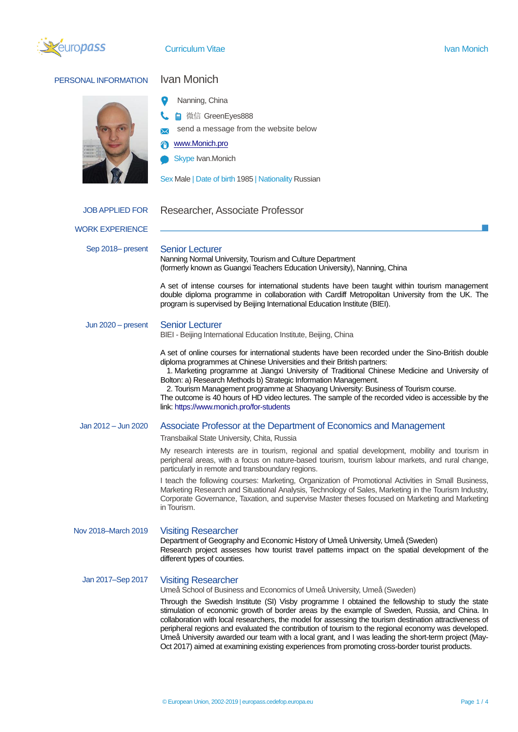

## PERSONAL INFORMATION Ivan Monich Nanning, China **A** 微信 GreenEyes888 send a message from the website below [www.Monich.pro](http://www.monich.pro/) Skype Ivan.Monich Sex Male | Date of birth 1985 | Nationality Russian WORK EXPERIENCE JOB APPLIED FOR Researcher, Associate Professor Sep 2018– present Senior Lecturer Nanning Normal University, Tourism and Culture Department (formerly known as Guangxi Teachers Education University), Nanning, China A set of intense courses for international students have been taught within tourism management double diploma programme in collaboration with Cardiff Metropolitan University from the UK. The program is supervised by Beijing International Education Institute (BIEI). Jun 2020 – present Senior Lecturer BIEI - Beijing International Education Institute, Beijing, China A set of online courses for international students have been recorded under the Sino-British double diploma programmes at Chinese Universities and their British partners: 1. Marketing programme at Jiangxi University of Traditional Chinese Medicine and University of Bolton: a) Research Methods b) Strategic Information Management. 2. Tourism Management programme at Shaoyang University: Business of Tourism course. The outcome is 40 hours of HD video lectures. The sample of the recorded video is accessible by the link: <https://www.monich.pro/for-students>

## Jan 2012 – Jun 2020 Associate Professor at the Department of Economics and Management

## Transbaikal State University, Chita, Russia

My research interests are in tourism, regional and spatial development, mobility and tourism in peripheral areas, with a focus on nature-based tourism, tourism labour markets, and rural change, particularly in remote and transboundary regions.

I teach the following courses: Marketing, Organization of Promotional Activities in Small Business, Marketing Research and Situational Analysis, Technology of Sales, Marketing in the Tourism Industry, Corporate Governance, Taxation, and supervise Master theses focused on Marketing and Marketing in Tourism.

Nov 2018–March 2019 Visiting Researcher

Department of Geography and Economic History of Umeå University, Umeå (Sweden) Research project assesses how tourist travel patterns impact on the spatial development of the different types of counties.

Jan 2017–Sep 2017 Visiting Researcher

Umeå School of Business and Economics of Umeå University, Umeå (Sweden)

Through the Swedish Institute (SI) Visby programme I obtained the fellowship to study the state stimulation of economic growth of border areas by the example of Sweden, Russia, and China. In collaboration with local researchers, the model for assessing the tourism destination attractiveness of peripheral regions and evaluated the contribution of tourism to the regional economy was developed. Umeå University awarded our team with a local grant, and I was leading the short-term project (May-Oct 2017) aimed at examining existing experiences from promoting cross-border tourist products.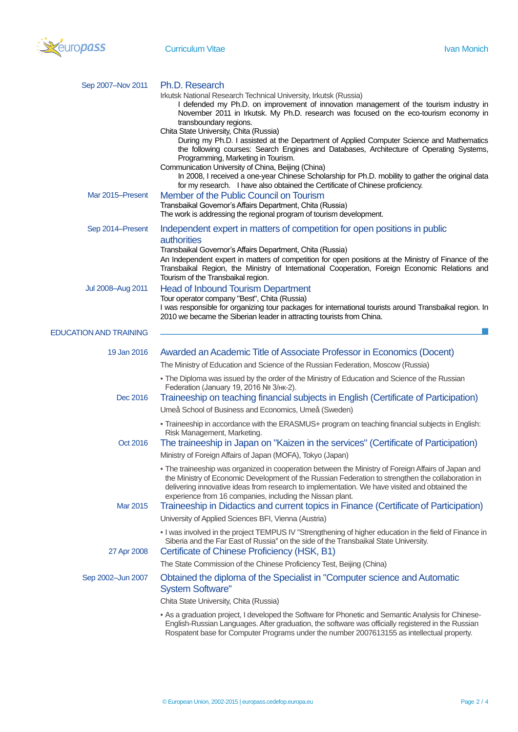

| Sep 2007-Nov 2011             | Ph.D. Research                                                                                                                                                                                                                                                                                                                                                                                                                                                  |
|-------------------------------|-----------------------------------------------------------------------------------------------------------------------------------------------------------------------------------------------------------------------------------------------------------------------------------------------------------------------------------------------------------------------------------------------------------------------------------------------------------------|
|                               | Irkutsk National Research Technical University, Irkutsk (Russia)<br>I defended my Ph.D. on improvement of innovation management of the tourism industry in<br>November 2011 in Irkutsk. My Ph.D. research was focused on the eco-tourism economy in                                                                                                                                                                                                             |
|                               | transboundary regions.<br>Chita State University, Chita (Russia)<br>During my Ph.D. I assisted at the Department of Applied Computer Science and Mathematics<br>the following courses: Search Engines and Databases, Architecture of Operating Systems,                                                                                                                                                                                                         |
|                               | Programming, Marketing in Tourism.<br>Communication University of China, Beijing (China)<br>In 2008, I received a one-year Chinese Scholarship for Ph.D. mobility to gather the original data<br>for my research. I have also obtained the Certificate of Chinese proficiency.                                                                                                                                                                                  |
| Mar 2015-Present              | Member of the Public Council on Tourism<br>Transbaikal Governor's Affairs Department, Chita (Russia)<br>The work is addressing the regional program of tourism development.                                                                                                                                                                                                                                                                                     |
| Sep 2014–Present              | Independent expert in matters of competition for open positions in public<br>authorities<br>Transbaikal Governor's Affairs Department, Chita (Russia)<br>An Independent expert in matters of competition for open positions at the Ministry of Finance of the<br>Transbaikal Region, the Ministry of International Cooperation, Foreign Economic Relations and<br>Tourism of the Transbaikal region.                                                            |
| Jul 2008-Aug 2011             | <b>Head of Inbound Tourism Department</b><br>Tour operator company "Best", Chita (Russia)<br>I was responsible for organizing tour packages for international tourists around Transbaikal region. In<br>2010 we became the Siberian leader in attracting tourists from China.                                                                                                                                                                                   |
| <b>EDUCATION AND TRAINING</b> |                                                                                                                                                                                                                                                                                                                                                                                                                                                                 |
| 19 Jan 2016                   | Awarded an Academic Title of Associate Professor in Economics (Docent)                                                                                                                                                                                                                                                                                                                                                                                          |
|                               | The Ministry of Education and Science of the Russian Federation, Moscow (Russia)                                                                                                                                                                                                                                                                                                                                                                                |
|                               | - The Diploma was issued by the order of the Ministry of Education and Science of the Russian<br>Federation (January 19, 2016 № 3/нк-2).                                                                                                                                                                                                                                                                                                                        |
| Dec 2016                      | Traineeship on teaching financial subjects in English (Certificate of Participation)                                                                                                                                                                                                                                                                                                                                                                            |
|                               | Umeå School of Business and Economics, Umeå (Sweden)                                                                                                                                                                                                                                                                                                                                                                                                            |
|                               | - Traineeship in accordance with the ERASMUS+ program on teaching financial subjects in English:<br>Risk Management, Marketing.                                                                                                                                                                                                                                                                                                                                 |
| Oct 2016                      | The traineeship in Japan on "Kaizen in the services" (Certificate of Participation)                                                                                                                                                                                                                                                                                                                                                                             |
|                               | Ministry of Foreign Affairs of Japan (MOFA), Tokyo (Japan)                                                                                                                                                                                                                                                                                                                                                                                                      |
| Mar 2015                      | - The traineeship was organized in cooperation between the Ministry of Foreign Affairs of Japan and<br>the Ministry of Economic Development of the Russian Federation to strengthen the collaboration in<br>delivering innovative ideas from research to implementation. We have visited and obtained the<br>experience from 16 companies, including the Nissan plant.<br>Traineeship in Didactics and current topics in Finance (Certificate of Participation) |
|                               | University of Applied Sciences BFI, Vienna (Austria)                                                                                                                                                                                                                                                                                                                                                                                                            |
| 27 Apr 2008                   | . I was involved in the project TEMPUS IV "Strengthening of higher education in the field of Finance in<br>Siberia and the Far East of Russia" on the side of the Transbaikal State University.<br>Certificate of Chinese Proficiency (HSK, B1)                                                                                                                                                                                                                 |
|                               | The State Commission of the Chinese Proficiency Test, Beijing (China)                                                                                                                                                                                                                                                                                                                                                                                           |
| Sep 2002-Jun 2007             | Obtained the diploma of the Specialist in "Computer science and Automatic<br><b>System Software"</b>                                                                                                                                                                                                                                                                                                                                                            |
|                               | Chita State University, Chita (Russia)                                                                                                                                                                                                                                                                                                                                                                                                                          |
|                               | - As a graduation project, I developed the Software for Phonetic and Semantic Analysis for Chinese-<br>English-Russian Languages. After graduation, the software was officially registered in the Russian                                                                                                                                                                                                                                                       |

Rospatent base for Computer Programs under the number 2007613155 as intellectual property.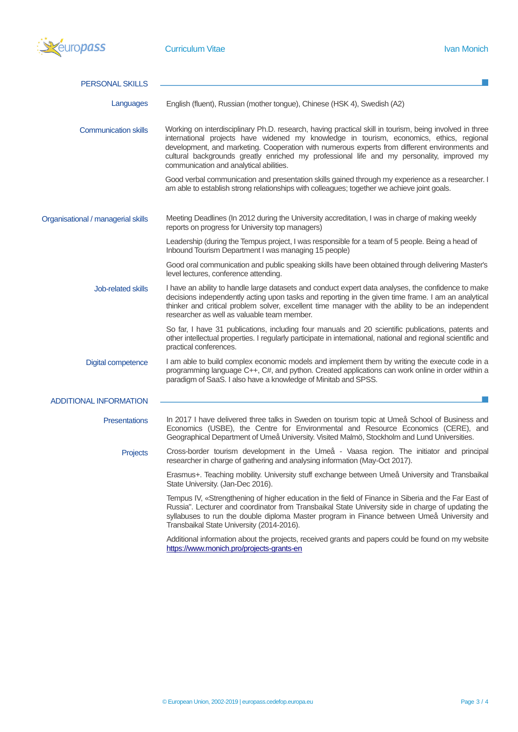

| <b>PERSONAL SKILLS</b>             |                                                                                                                                                                                                                                                                                                                                                                                                                                               |
|------------------------------------|-----------------------------------------------------------------------------------------------------------------------------------------------------------------------------------------------------------------------------------------------------------------------------------------------------------------------------------------------------------------------------------------------------------------------------------------------|
| Languages                          | English (fluent), Russian (mother tongue), Chinese (HSK 4), Swedish (A2)                                                                                                                                                                                                                                                                                                                                                                      |
| <b>Communication skills</b>        | Working on interdisciplinary Ph.D. research, having practical skill in tourism, being involved in three<br>international projects have widened my knowledge in tourism, economics, ethics, regional<br>development, and marketing. Cooperation with numerous experts from different environments and<br>cultural backgrounds greatly enriched my professional life and my personality, improved my<br>communication and analytical abilities. |
|                                    | Good verbal communication and presentation skills gained through my experience as a researcher. I<br>am able to establish strong relationships with colleagues; together we achieve joint goals.                                                                                                                                                                                                                                              |
| Organisational / managerial skills | Meeting Deadlines (In 2012 during the University accreditation, I was in charge of making weekly<br>reports on progress for University top managers)                                                                                                                                                                                                                                                                                          |
|                                    | Leadership (during the Tempus project, I was responsible for a team of 5 people. Being a head of<br>Inbound Tourism Department I was managing 15 people)                                                                                                                                                                                                                                                                                      |
|                                    | Good oral communication and public speaking skills have been obtained through delivering Master's<br>level lectures, conference attending.                                                                                                                                                                                                                                                                                                    |
| Job-related skills                 | I have an ability to handle large datasets and conduct expert data analyses, the confidence to make<br>decisions independently acting upon tasks and reporting in the given time frame. I am an analytical<br>thinker and critical problem solver, excellent time manager with the ability to be an independent<br>researcher as well as valuable team member.                                                                                |
|                                    | So far, I have 31 publications, including four manuals and 20 scientific publications, patents and<br>other intellectual properties. I regularly participate in international, national and regional scientific and<br>practical conferences.                                                                                                                                                                                                 |
| <b>Digital competence</b>          | I am able to build complex economic models and implement them by writing the execute code in a<br>programming language C++, C#, and python. Created applications can work online in order within a<br>paradigm of SaaS. I also have a knowledge of Minitab and SPSS.                                                                                                                                                                          |
| <b>ADDITIONAL INFORMATION</b>      |                                                                                                                                                                                                                                                                                                                                                                                                                                               |
| <b>Presentations</b>               | In 2017 I have delivered three talks in Sweden on tourism topic at Umeå School of Business and<br>Economics (USBE), the Centre for Environmental and Resource Economics (CERE), and<br>Geographical Department of Umeå University. Visited Malmö, Stockholm and Lund Universities.                                                                                                                                                            |
| Projects                           | Cross-border tourism development in the Umeå - Vaasa region. The initiator and principal<br>researcher in charge of gathering and analysing information (May-Oct 2017).                                                                                                                                                                                                                                                                       |
|                                    | Erasmus+. Teaching mobility. University stuff exchange between Umeå University and Transbaikal<br>State University. (Jan-Dec 2016).                                                                                                                                                                                                                                                                                                           |
|                                    | Tempus IV, «Strengthening of higher education in the field of Finance in Siberia and the Far East of<br>Russia". Lecturer and coordinator from Transbaikal State University side in charge of updating the<br>syllabuses to run the double diploma Master program in Finance between Umeå University and<br>Transbaikal State University (2014-2016).                                                                                         |
|                                    | Additional information about the projects, received grants and papers could be found on my website<br>https://www.monich.pro/projects-grants-en                                                                                                                                                                                                                                                                                               |